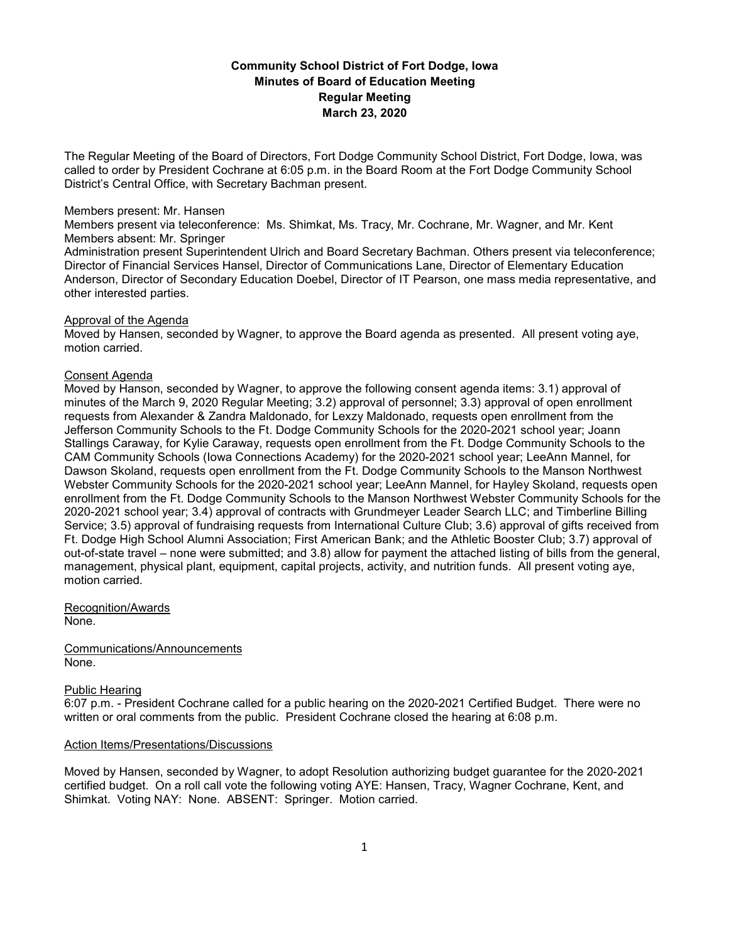# **Community School District of Fort Dodge, Iowa Minutes of Board of Education Meeting Regular Meeting March 23, 2020**

The Regular Meeting of the Board of Directors, Fort Dodge Community School District, Fort Dodge, Iowa, was called to order by President Cochrane at 6:05 p.m. in the Board Room at the Fort Dodge Community School District's Central Office, with Secretary Bachman present.

# Members present: Mr. Hansen

Members present via teleconference: Ms. Shimkat, Ms. Tracy, Mr. Cochrane, Mr. Wagner, and Mr. Kent Members absent: Mr. Springer

Administration present Superintendent Ulrich and Board Secretary Bachman. Others present via teleconference; Director of Financial Services Hansel, Director of Communications Lane, Director of Elementary Education Anderson, Director of Secondary Education Doebel, Director of IT Pearson, one mass media representative, and other interested parties.

## Approval of the Agenda

Moved by Hansen, seconded by Wagner, to approve the Board agenda as presented. All present voting aye, motion carried.

## Consent Agenda

Moved by Hanson, seconded by Wagner, to approve the following consent agenda items: 3.1) approval of minutes of the March 9, 2020 Regular Meeting; 3.2) approval of personnel; 3.3) approval of open enrollment requests from Alexander & Zandra Maldonado, for Lexzy Maldonado, requests open enrollment from the Jefferson Community Schools to the Ft. Dodge Community Schools for the 2020-2021 school year; Joann Stallings Caraway, for Kylie Caraway, requests open enrollment from the Ft. Dodge Community Schools to the CAM Community Schools (Iowa Connections Academy) for the 2020-2021 school year; LeeAnn Mannel, for Dawson Skoland, requests open enrollment from the Ft. Dodge Community Schools to the Manson Northwest Webster Community Schools for the 2020-2021 school year; LeeAnn Mannel, for Hayley Skoland, requests open enrollment from the Ft. Dodge Community Schools to the Manson Northwest Webster Community Schools for the 2020-2021 school year; 3.4) approval of contracts with Grundmeyer Leader Search LLC; and Timberline Billing Service; 3.5) approval of fundraising requests from International Culture Club; 3.6) approval of gifts received from Ft. Dodge High School Alumni Association; First American Bank; and the Athletic Booster Club; 3.7) approval of out-of-state travel – none were submitted; and 3.8) allow for payment the attached listing of bills from the general, management, physical plant, equipment, capital projects, activity, and nutrition funds. All present voting aye, motion carried.

Recognition/Awards None.

Communications/Announcements None.

## Public Hearing

6:07 p.m. - President Cochrane called for a public hearing on the 2020-2021 Certified Budget. There were no written or oral comments from the public. President Cochrane closed the hearing at 6:08 p.m.

## Action Items/Presentations/Discussions

Moved by Hansen, seconded by Wagner, to adopt Resolution authorizing budget guarantee for the 2020-2021 certified budget. On a roll call vote the following voting AYE: Hansen, Tracy, Wagner Cochrane, Kent, and Shimkat. Voting NAY: None. ABSENT: Springer. Motion carried.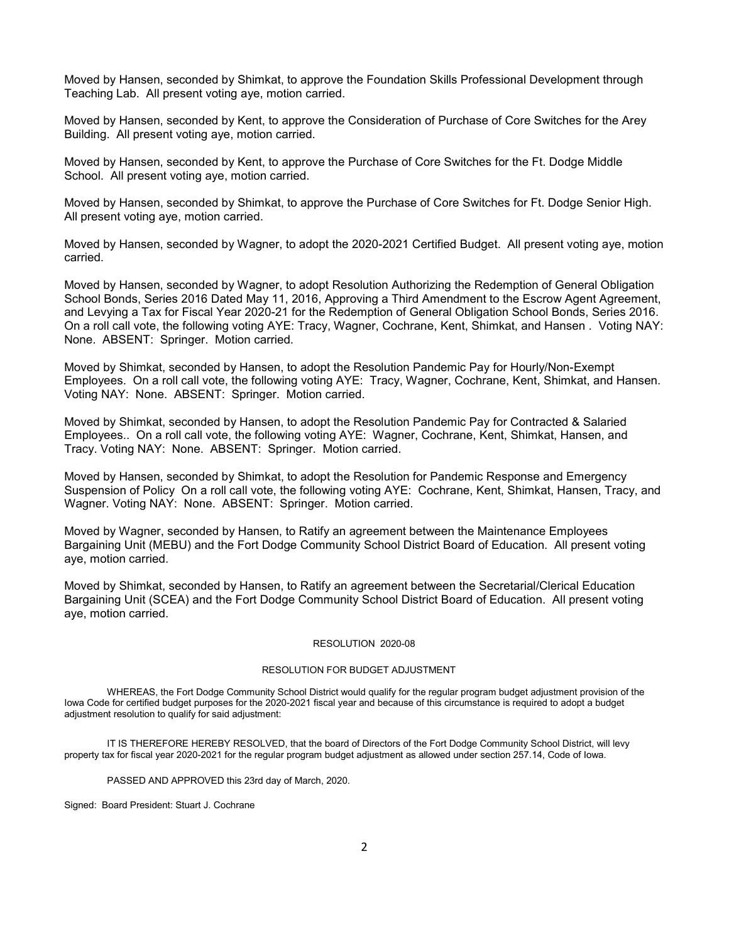Moved by Hansen, seconded by Shimkat, to approve the Foundation Skills Professional Development through Teaching Lab. All present voting aye, motion carried.

Moved by Hansen, seconded by Kent, to approve the Consideration of Purchase of Core Switches for the Arey Building. All present voting aye, motion carried.

Moved by Hansen, seconded by Kent, to approve the Purchase of Core Switches for the Ft. Dodge Middle School. All present voting aye, motion carried.

Moved by Hansen, seconded by Shimkat, to approve the Purchase of Core Switches for Ft. Dodge Senior High. All present voting aye, motion carried.

Moved by Hansen, seconded by Wagner, to adopt the 2020-2021 Certified Budget. All present voting aye, motion carried.

Moved by Hansen, seconded by Wagner, to adopt Resolution Authorizing the Redemption of General Obligation School Bonds, Series 2016 Dated May 11, 2016, Approving a Third Amendment to the Escrow Agent Agreement, and Levying a Tax for Fiscal Year 2020-21 for the Redemption of General Obligation School Bonds, Series 2016. On a roll call vote, the following voting AYE: Tracy, Wagner, Cochrane, Kent, Shimkat, and Hansen . Voting NAY: None. ABSENT: Springer. Motion carried.

Moved by Shimkat, seconded by Hansen, to adopt the Resolution Pandemic Pay for Hourly/Non-Exempt Employees. On a roll call vote, the following voting AYE: Tracy, Wagner, Cochrane, Kent, Shimkat, and Hansen. Voting NAY: None. ABSENT: Springer. Motion carried.

Moved by Shimkat, seconded by Hansen, to adopt the Resolution Pandemic Pay for Contracted & Salaried Employees.. On a roll call vote, the following voting AYE: Wagner, Cochrane, Kent, Shimkat, Hansen, and Tracy. Voting NAY: None. ABSENT: Springer. Motion carried.

Moved by Hansen, seconded by Shimkat, to adopt the Resolution for Pandemic Response and Emergency Suspension of Policy On a roll call vote, the following voting AYE: Cochrane, Kent, Shimkat, Hansen, Tracy, and Wagner. Voting NAY: None. ABSENT: Springer. Motion carried.

Moved by Wagner, seconded by Hansen, to Ratify an agreement between the Maintenance Employees Bargaining Unit (MEBU) and the Fort Dodge Community School District Board of Education. All present voting aye, motion carried.

Moved by Shimkat, seconded by Hansen, to Ratify an agreement between the Secretarial/Clerical Education Bargaining Unit (SCEA) and the Fort Dodge Community School District Board of Education. All present voting aye, motion carried.

### RESOLUTION 2020-08

### RESOLUTION FOR BUDGET ADJUSTMENT

WHEREAS, the Fort Dodge Community School District would qualify for the regular program budget adjustment provision of the Iowa Code for certified budget purposes for the 2020-2021 fiscal year and because of this circumstance is required to adopt a budget adjustment resolution to qualify for said adjustment:

IT IS THEREFORE HEREBY RESOLVED, that the board of Directors of the Fort Dodge Community School District, will levy property tax for fiscal year 2020-2021 for the regular program budget adjustment as allowed under section 257.14, Code of Iowa.

#### PASSED AND APPROVED this 23rd day of March, 2020.

Signed: Board President: Stuart J. Cochrane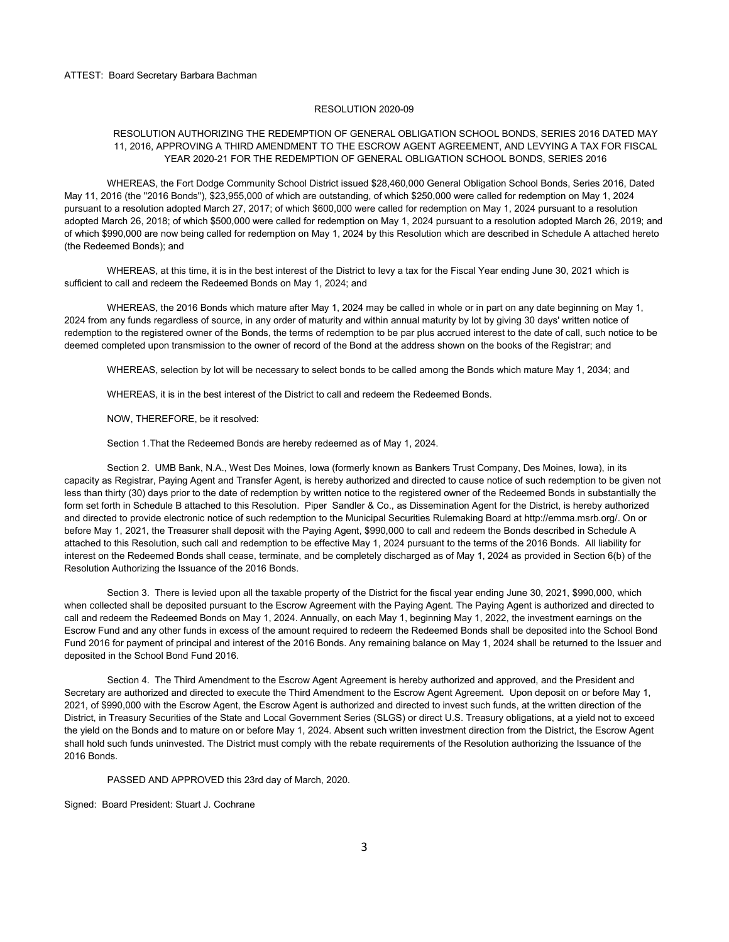#### RESOLUTION 2020-09

## RESOLUTION AUTHORIZING THE REDEMPTION OF GENERAL OBLIGATION SCHOOL BONDS, SERIES 2016 DATED MAY 11, 2016, APPROVING A THIRD AMENDMENT TO THE ESCROW AGENT AGREEMENT, AND LEVYING A TAX FOR FISCAL YEAR 2020-21 FOR THE REDEMPTION OF GENERAL OBLIGATION SCHOOL BONDS, SERIES 2016

WHEREAS, the Fort Dodge Community School District issued \$28,460,000 General Obligation School Bonds, Series 2016, Dated May 11, 2016 (the "2016 Bonds"), \$23,955,000 of which are outstanding, of which \$250,000 were called for redemption on May 1, 2024 pursuant to a resolution adopted March 27, 2017; of which \$600,000 were called for redemption on May 1, 2024 pursuant to a resolution adopted March 26, 2018; of which \$500,000 were called for redemption on May 1, 2024 pursuant to a resolution adopted March 26, 2019; and of which \$990,000 are now being called for redemption on May 1, 2024 by this Resolution which are described in Schedule A attached hereto (the Redeemed Bonds); and

WHEREAS, at this time, it is in the best interest of the District to levy a tax for the Fiscal Year ending June 30, 2021 which is sufficient to call and redeem the Redeemed Bonds on May 1, 2024; and

WHEREAS, the 2016 Bonds which mature after May 1, 2024 may be called in whole or in part on any date beginning on May 1, 2024 from any funds regardless of source, in any order of maturity and within annual maturity by lot by giving 30 days' written notice of redemption to the registered owner of the Bonds, the terms of redemption to be par plus accrued interest to the date of call, such notice to be deemed completed upon transmission to the owner of record of the Bond at the address shown on the books of the Registrar; and

WHEREAS, selection by lot will be necessary to select bonds to be called among the Bonds which mature May 1, 2034; and

WHEREAS, it is in the best interest of the District to call and redeem the Redeemed Bonds.

NOW, THEREFORE, be it resolved:

Section 1.That the Redeemed Bonds are hereby redeemed as of May 1, 2024.

Section 2. UMB Bank, N.A., West Des Moines, Iowa (formerly known as Bankers Trust Company, Des Moines, Iowa), in its capacity as Registrar, Paying Agent and Transfer Agent, is hereby authorized and directed to cause notice of such redemption to be given not less than thirty (30) days prior to the date of redemption by written notice to the registered owner of the Redeemed Bonds in substantially the form set forth in Schedule B attached to this Resolution. Piper Sandler & Co., as Dissemination Agent for the District, is hereby authorized and directed to provide electronic notice of such redemption to the Municipal Securities Rulemaking Board a[t http://emma.msrb.org/.](http://emma.msrb.org/) On or before May 1, 2021, the Treasurer shall deposit with the Paying Agent, \$990,000 to call and redeem the Bonds described in Schedule A attached to this Resolution, such call and redemption to be effective May 1, 2024 pursuant to the terms of the 2016 Bonds. All liability for interest on the Redeemed Bonds shall cease, terminate, and be completely discharged as of May 1, 2024 as provided in Section 6(b) of the Resolution Authorizing the Issuance of the 2016 Bonds.

Section 3. There is levied upon all the taxable property of the District for the fiscal year ending June 30, 2021, \$990,000, which when collected shall be deposited pursuant to the Escrow Agreement with the Paying Agent. The Paying Agent is authorized and directed to call and redeem the Redeemed Bonds on May 1, 2024. Annually, on each May 1, beginning May 1, 2022, the investment earnings on the Escrow Fund and any other funds in excess of the amount required to redeem the Redeemed Bonds shall be deposited into the School Bond Fund 2016 for payment of principal and interest of the 2016 Bonds. Any remaining balance on May 1, 2024 shall be returned to the Issuer and deposited in the School Bond Fund 2016.

Section 4. The Third Amendment to the Escrow Agent Agreement is hereby authorized and approved, and the President and Secretary are authorized and directed to execute the Third Amendment to the Escrow Agent Agreement. Upon deposit on or before May 1, 2021, of \$990,000 with the Escrow Agent, the Escrow Agent is authorized and directed to invest such funds, at the written direction of the District, in Treasury Securities of the State and Local Government Series (SLGS) or direct U.S. Treasury obligations, at a yield not to exceed the yield on the Bonds and to mature on or before May 1, 2024. Absent such written investment direction from the District, the Escrow Agent shall hold such funds uninvested. The District must comply with the rebate requirements of the Resolution authorizing the Issuance of the 2016 Bonds.

#### PASSED AND APPROVED this 23rd day of March, 2020.

Signed: Board President: Stuart J. Cochrane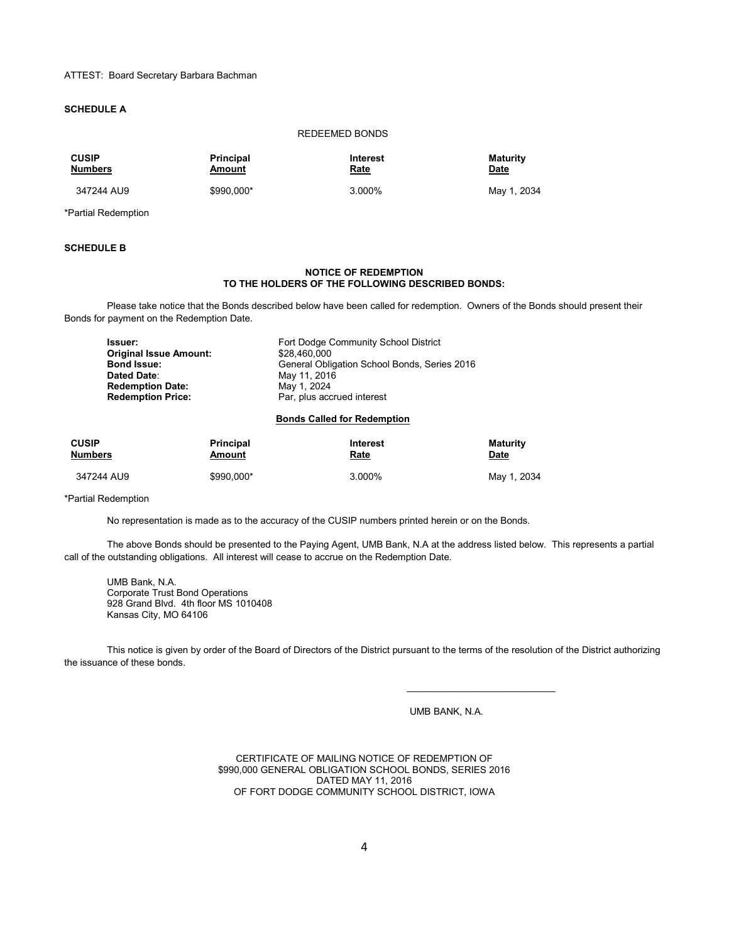#### ATTEST: Board Secretary Barbara Bachman

### **SCHEDULE A**

## REDEEMED BONDS

| <b>CUSIP</b>   | <b>Principal</b> | Interest    | <b>Maturity</b> |
|----------------|------------------|-------------|-----------------|
| <b>Numbers</b> | Amount           | <u>Rate</u> | <b>Date</b>     |
| 347244 AU9     | \$990.000*       | 3.000%      | May 1, 2034     |

\*Partial Redemption

### **SCHEDULE B**

### **NOTICE OF REDEMPTION TO THE HOLDERS OF THE FOLLOWING DESCRIBED BONDS:**

Please take notice that the Bonds described below have been called for redemption. Owners of the Bonds should present their Bonds for payment on the Redemption Date.

| <b>Issuer:</b>                | Fort Dodge Community School District         |  |
|-------------------------------|----------------------------------------------|--|
| <b>Original Issue Amount:</b> | \$28.460.000                                 |  |
| <b>Bond Issue:</b>            | General Obligation School Bonds, Series 2016 |  |
| Dated Date:                   | May 11, 2016                                 |  |
| <b>Redemption Date:</b>       | May 1, 2024                                  |  |
| <b>Redemption Price:</b>      | Par, plus accrued interest                   |  |
|                               |                                              |  |

## **Bonds Called for Redemption**

| <b>CUSIP</b>   | <b>Principal</b> | Interest    | <b>Maturity</b> |
|----------------|------------------|-------------|-----------------|
| <b>Numbers</b> | Amount           | <u>Rate</u> | <u>Date</u>     |
| 347244 AU9     | \$990,000*       | 3.000%      | May 1, 2034     |

\*Partial Redemption

No representation is made as to the accuracy of the CUSIP numbers printed herein or on the Bonds.

The above Bonds should be presented to the Paying Agent, UMB Bank, N.A at the address listed below. This represents a partial call of the outstanding obligations. All interest will cease to accrue on the Redemption Date.

UMB Bank, N.A. Corporate Trust Bond Operations 928 Grand Blvd. 4th floor MS 1010408 Kansas City, MO 64106

This notice is given by order of the Board of Directors of the District pursuant to the terms of the resolution of the District authorizing the issuance of these bonds.

UMB BANK, N.A.

 $\overline{\phantom{a}}$  , where  $\overline{\phantom{a}}$  , where  $\overline{\phantom{a}}$  , where  $\overline{\phantom{a}}$  , where  $\overline{\phantom{a}}$ 

CERTIFICATE OF MAILING NOTICE OF REDEMPTION OF \$990,000 GENERAL OBLIGATION SCHOOL BONDS, SERIES 2016 DATED MAY 11, 2016 OF FORT DODGE COMMUNITY SCHOOL DISTRICT, IOWA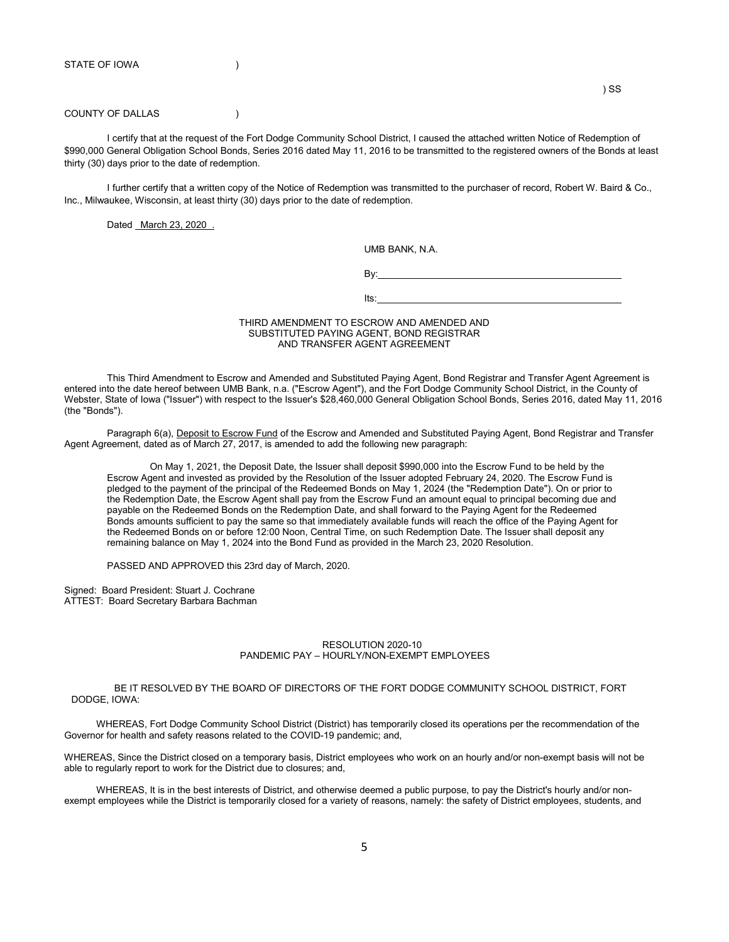STATE OF IOWA (1999)

### COUNTY OF DALLAS (1999)

I certify that at the request of the Fort Dodge Community School District, I caused the attached written Notice of Redemption of \$990,000 General Obligation School Bonds, Series 2016 dated May 11, 2016 to be transmitted to the registered owners of the Bonds at least thirty (30) days prior to the date of redemption.

I further certify that a written copy of the Notice of Redemption was transmitted to the purchaser of record, Robert W. Baird & Co., Inc., Milwaukee, Wisconsin, at least thirty (30) days prior to the date of redemption.

Dated March 23, 2020.

UMB BANK, N.A.

By:

Its:

THIRD AMENDMENT TO ESCROW AND AMENDED AND SUBSTITUTED PAYING AGENT, BOND REGISTRAR AND TRANSFER AGENT AGREEMENT

This Third Amendment to Escrow and Amended and Substituted Paying Agent, Bond Registrar and Transfer Agent Agreement is entered into the date hereof between UMB Bank, n.a. ("Escrow Agent"), and the Fort Dodge Community School District, in the County of Webster, State of Iowa ("Issuer") with respect to the Issuer's \$28,460,000 General Obligation School Bonds, Series 2016, dated May 11, 2016 (the "Bonds").

Paragraph 6(a), Deposit to Escrow Fund of the Escrow and Amended and Substituted Paying Agent, Bond Registrar and Transfer Agent Agreement, dated as of March 27, 2017, is amended to add the following new paragraph:

On May 1, 2021, the Deposit Date, the Issuer shall deposit \$990,000 into the Escrow Fund to be held by the Escrow Agent and invested as provided by the Resolution of the Issuer adopted February 24, 2020. The Escrow Fund is pledged to the payment of the principal of the Redeemed Bonds on May 1, 2024 (the "Redemption Date"). On or prior to the Redemption Date, the Escrow Agent shall pay from the Escrow Fund an amount equal to principal becoming due and payable on the Redeemed Bonds on the Redemption Date, and shall forward to the Paying Agent for the Redeemed Bonds amounts sufficient to pay the same so that immediately available funds will reach the office of the Paying Agent for the Redeemed Bonds on or before 12:00 Noon, Central Time, on such Redemption Date. The Issuer shall deposit any remaining balance on May 1, 2024 into the Bond Fund as provided in the March 23, 2020 Resolution.

PASSED AND APPROVED this 23rd day of March, 2020.

Signed: Board President: Stuart J. Cochrane ATTEST: Board Secretary Barbara Bachman

### RESOLUTION 2020-10 PANDEMIC PAY – HOURLY/NON-EXEMPT EMPLOYEES

BE IT RESOLVED BY THE BOARD OF DIRECTORS OF THE FORT DODGE COMMUNITY SCHOOL DISTRICT, FORT DODGE, IOWA:

WHEREAS, Fort Dodge Community School District (District) has temporarily closed its operations per the recommendation of the Governor for health and safety reasons related to the COVID-19 pandemic; and,

WHEREAS, Since the District closed on a temporary basis, District employees who work on an hourly and/or non-exempt basis will not be able to regularly report to work for the District due to closures; and,

WHEREAS, It is in the best interests of District, and otherwise deemed a public purpose, to pay the District's hourly and/or nonexempt employees while the District is temporarily closed for a variety of reasons, namely: the safety of District employees, students, and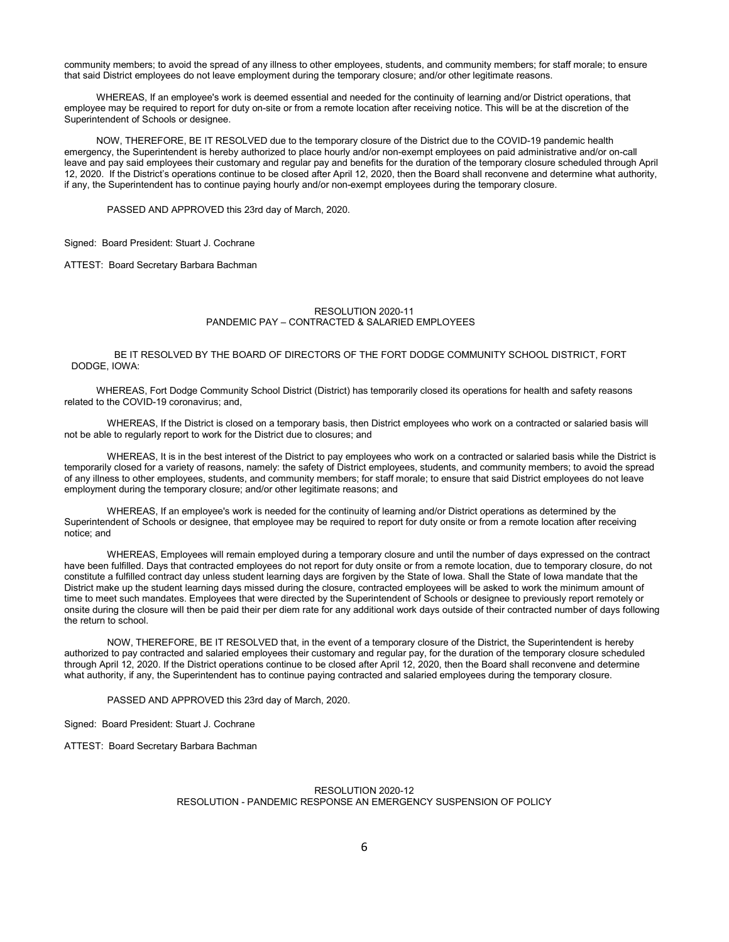community members; to avoid the spread of any illness to other employees, students, and community members; for staff morale; to ensure that said District employees do not leave employment during the temporary closure; and/or other legitimate reasons.

WHEREAS, If an employee's work is deemed essential and needed for the continuity of learning and/or District operations, that employee may be required to report for duty on-site or from a remote location after receiving notice. This will be at the discretion of the Superintendent of Schools or designee.

NOW, THEREFORE, BE IT RESOLVED due to the temporary closure of the District due to the COVID-19 pandemic health emergency, the Superintendent is hereby authorized to place hourly and/or non-exempt employees on paid administrative and/or on-call leave and pay said employees their customary and regular pay and benefits for the duration of the temporary closure scheduled through April 12, 2020. If the District's operations continue to be closed after April 12, 2020, then the Board shall reconvene and determine what authority, if any, the Superintendent has to continue paying hourly and/or non-exempt employees during the temporary closure.

PASSED AND APPROVED this 23rd day of March, 2020.

Signed: Board President: Stuart J. Cochrane

ATTEST: Board Secretary Barbara Bachman

#### RESOLUTION 2020-11 PANDEMIC PAY – CONTRACTED & SALARIED EMPLOYEES

BE IT RESOLVED BY THE BOARD OF DIRECTORS OF THE FORT DODGE COMMUNITY SCHOOL DISTRICT, FORT DODGE, IOWA:

WHEREAS, Fort Dodge Community School District (District) has temporarily closed its operations for health and safety reasons related to the COVID-19 coronavirus; and,

WHEREAS, If the District is closed on a temporary basis, then District employees who work on a contracted or salaried basis will not be able to regularly report to work for the District due to closures; and

WHEREAS, It is in the best interest of the District to pay employees who work on a contracted or salaried basis while the District is temporarily closed for a variety of reasons, namely: the safety of District employees, students, and community members; to avoid the spread of any illness to other employees, students, and community members; for staff morale; to ensure that said District employees do not leave employment during the temporary closure; and/or other legitimate reasons; and

WHEREAS, If an employee's work is needed for the continuity of learning and/or District operations as determined by the Superintendent of Schools or designee, that employee may be required to report for duty onsite or from a remote location after receiving notice; and

WHEREAS, Employees will remain employed during a temporary closure and until the number of days expressed on the contract have been fulfilled. Days that contracted employees do not report for duty onsite or from a remote location, due to temporary closure, do not constitute a fulfilled contract day unless student learning days are forgiven by the State of Iowa. Shall the State of Iowa mandate that the District make up the student learning days missed during the closure, contracted employees will be asked to work the minimum amount of time to meet such mandates. Employees that were directed by the Superintendent of Schools or designee to previously report remotely or onsite during the closure will then be paid their per diem rate for any additional work days outside of their contracted number of days following the return to school.

NOW, THEREFORE, BE IT RESOLVED that, in the event of a temporary closure of the District, the Superintendent is hereby authorized to pay contracted and salaried employees their customary and regular pay, for the duration of the temporary closure scheduled through April 12, 2020. If the District operations continue to be closed after April 12, 2020, then the Board shall reconvene and determine what authority, if any, the Superintendent has to continue paying contracted and salaried employees during the temporary closure.

PASSED AND APPROVED this 23rd day of March, 2020.

Signed: Board President: Stuart J. Cochrane

ATTEST: Board Secretary Barbara Bachman

### RESOLUTION 2020-12 RESOLUTION - PANDEMIC RESPONSE AN EMERGENCY SUSPENSION OF POLICY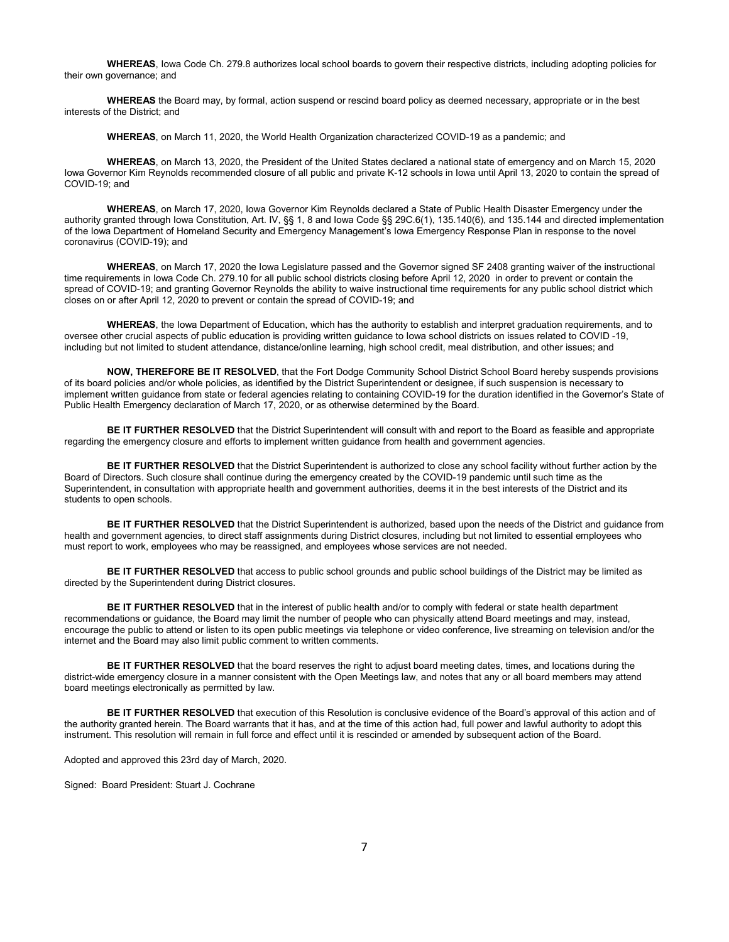**WHEREAS**, Iowa Code Ch. 279.8 authorizes local school boards to govern their respective districts, including adopting policies for their own governance; and

**WHEREAS** the Board may, by formal, action suspend or rescind board policy as deemed necessary, appropriate or in the best interests of the District; and

**WHEREAS**, on March 11, 2020, the World Health Organization characterized COVID-19 as a pandemic; and

**WHEREAS**, on March 13, 2020, the President of the United States declared a national state of emergency and on March 15, 2020 Iowa Governor Kim Reynolds recommended closure of all public and private K-12 schools in Iowa until April 13, 2020 to contain the spread of COVID-19; and

**WHEREAS**, on March 17, 2020, Iowa Governor Kim Reynolds declared a State of Public Health Disaster Emergency under the authority granted through Iowa Constitution, Art. IV, §§ 1, 8 and Iowa Code §§ 29C.6(1), 135.140(6), and 135.144 and directed implementation of the Iowa Department of Homeland Security and Emergency Management's Iowa Emergency Response Plan in response to the novel coronavirus (COVID-19); and

**WHEREAS**, on March 17, 2020 the Iowa Legislature passed and the Governor signed SF 2408 granting waiver of the instructional time requirements in Iowa Code Ch. 279.10 for all public school districts closing before April 12, 2020 in order to prevent or contain the spread of COVID-19; and granting Governor Reynolds the ability to waive instructional time requirements for any public school district which closes on or after April 12, 2020 to prevent or contain the spread of COVID-19; and

**WHEREAS**, the Iowa Department of Education, which has the authority to establish and interpret graduation requirements, and to oversee other crucial aspects of public education is providing written guidance to Iowa school districts on issues related to COVID -19, including but not limited to student attendance, distance/online learning, high school credit, meal distribution, and other issues; and

**NOW, THEREFORE BE IT RESOLVED**, that the Fort Dodge Community School District School Board hereby suspends provisions of its board policies and/or whole policies, as identified by the District Superintendent or designee, if such suspension is necessary to implement written guidance from state or federal agencies relating to containing COVID-19 for the duration identified in the Governor's State of Public Health Emergency declaration of March 17, 2020, or as otherwise determined by the Board.

**BE IT FURTHER RESOLVED** that the District Superintendent will consult with and report to the Board as feasible and appropriate regarding the emergency closure and efforts to implement written guidance from health and government agencies.

**BE IT FURTHER RESOLVED** that the District Superintendent is authorized to close any school facility without further action by the Board of Directors. Such closure shall continue during the emergency created by the COVID-19 pandemic until such time as the Superintendent, in consultation with appropriate health and government authorities, deems it in the best interests of the District and its students to open schools.

**BE IT FURTHER RESOLVED** that the District Superintendent is authorized, based upon the needs of the District and guidance from health and government agencies, to direct staff assignments during District closures, including but not limited to essential employees who must report to work, employees who may be reassigned, and employees whose services are not needed.

**BE IT FURTHER RESOLVED** that access to public school grounds and public school buildings of the District may be limited as directed by the Superintendent during District closures.

**BE IT FURTHER RESOLVED** that in the interest of public health and/or to comply with federal or state health department recommendations or guidance, the Board may limit the number of people who can physically attend Board meetings and may, instead, encourage the public to attend or listen to its open public meetings via telephone or video conference, live streaming on television and/or the internet and the Board may also limit public comment to written comments.

**BE IT FURTHER RESOLVED** that the board reserves the right to adjust board meeting dates, times, and locations during the district-wide emergency closure in a manner consistent with the Open Meetings law, and notes that any or all board members may attend board meetings electronically as permitted by law.

**BE IT FURTHER RESOLVED** that execution of this Resolution is conclusive evidence of the Board's approval of this action and of the authority granted herein. The Board warrants that it has, and at the time of this action had, full power and lawful authority to adopt this instrument. This resolution will remain in full force and effect until it is rescinded or amended by subsequent action of the Board.

Adopted and approved this 23rd day of March, 2020.

Signed: Board President: Stuart J. Cochrane